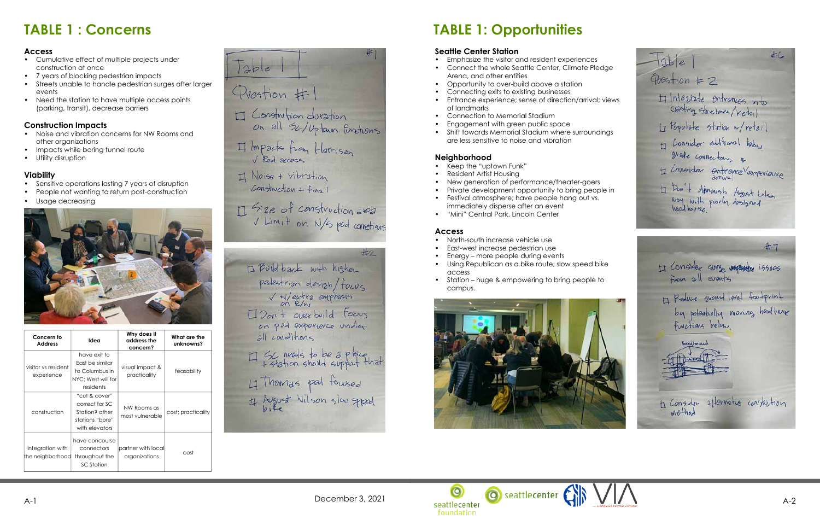# **TABLE 1: Opportunities**

### **Seattle Center Station**

- Emphasize the visitor and resident experiences
- Connect the whole Seattle Center, Climate Pledge Arena, and other entities
- Opportunity to over-build above a station
- Connecting exits to existing businesses
- Entrance experience; sense of direction/arrival; views of landmarks
- Connection to Memorial Stadium
- Engagement with green public space
- Shift towards Memorial Stadium where surroundings are less sensitive to noise and vibration

### **Neighborhood**

- Keep the "uptown Funk"
- Resident Artist Housing
- New generation of performance/theater-goers
- Private development opportunity to bring people in
- Festival atmosphere; have people hang out vs. immediately disperse after an event
- "Mini" Central Park, Lincoln Center

### **Access**

- North-south increase vehicle use
- East-west increase pedestrian use
- Energy more people during events
- Using Republican as a bike route; slow speed bike access
- Station huge & empowering to bring people to campus.



# **TABLE 1 : Concerns**

#### **Access**

- Cumulative effect of multiple projects under construction at once
- 7 years of blocking pedestrian impacts
- Streets unable to handle pedestrian surges after larger events
- Need the station to have multiple access points (parking, transit), decrease barriers

### **Construction Impacts**

- Noise and vibration concerns for NW Rooms and other organizations
- Impacts while boring tunnel route
- Utility disruption

#### **Viability**

- Sensitive operations lasting 7 years of disruption
- People not wanting to return post-construction
- Usage decreasing



| Concern to<br><b>Address</b>         | Idea                                                                                   | Why does it<br>address the<br>concern? | What are the<br>unknowns? |
|--------------------------------------|----------------------------------------------------------------------------------------|----------------------------------------|---------------------------|
| visitor vs resident<br>experience    | have exit to<br>East be similar<br>to Columbus in<br>NYC: West will for<br>residents   | visual impact &<br>practicality        | feasability               |
| construction                         | "cut & cover"<br>correct for SC<br>Station? other<br>stations "bore"<br>with elevators | NW Rooms as<br>most vulnerable         | cost; practicality        |
| integration with<br>the neighborhood | have concourse<br>connectors<br>throughout the<br>SC Station                           | partner with local<br>organizations    | cost                      |

 $Table$ Question #1 H Constrution duration on all Sk/Uptain furtions  $\boxplus$  Impacts from Herrison Il Noise + Vibration  $Construction + Fina 1$ Il Size of construction area V Limit on N/s pod connetions

 $\pm 2$ 1 Built back with higher pedestrian design/fours<br>V W/extra emphasis on ped experience under all conditions H Sc nears to be a place H Thomas pat foursed If August Wilson slow spread

 $#C$  $|2b|e$  $Q<sub>bestion</sub>  $\neq$  2$ H Interstate entrances into existing structures/Ketail H Populate Station w/retail H Lonsider additional tobus grade connectors a ti Consider entrepreventeriance I Don't dominish August Lilson<br>Noy with poorly dosigned

 $#7$ H Consider surge vacante issues H Reduce shound loved footprint by potentially moving hostback *Borea / mined* to Consider afformation constantion

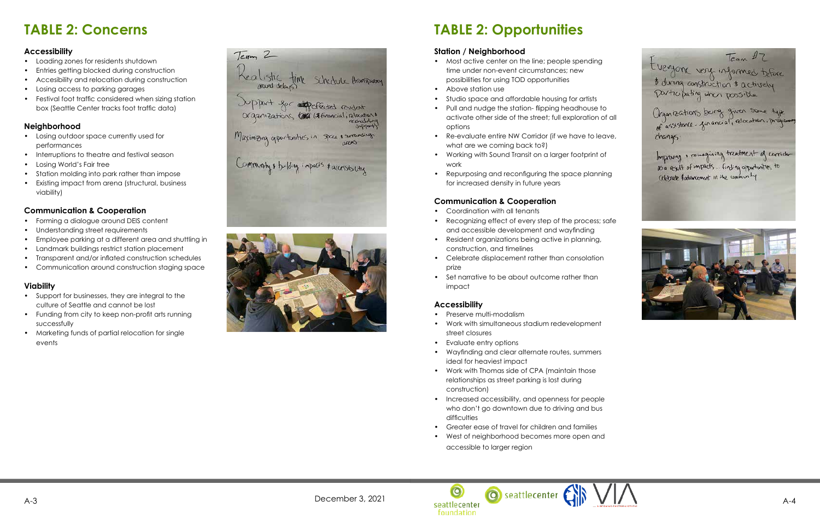

# **TABLE 2: Opportunities**

### **Station / Neighborhood**

- Most active center on the line; people spending time under non-event circumstances; new possibilities for using TOD opportunities
- Above station use
- Studio space and affordable housing for artists
- Pull and nudge the station- flipping headhouse to activate other side of the street; full exploration of all options
- Re-evaluate entire NW Corridor (if we have to leave, what are we coming back to?)
- Working with Sound Transit on a larger footprint of work
- Repurposing and reconfiguring the space planning for increased density in future years

### **Communication & Cooperation**

- Coordination with all tenants
- Recognizing effect of every step of the process; safe and accessible development and wayfinding
- Resident organizations being active in planning, construction, and timelines
- Celebrate displacement rather than consolation prize
- Set narrative to be about outcome rather than impact

### **Accessibility**

- Preserve multi-modalism
- Work with simultaneous stadium redevelopment street closures
- Evaluate entry options
- Wayfinding and clear alternate routes, summers ideal for heaviest impact
- Work with Thomas side of CPA (maintain those relationships as street parking is lost during construction)
- Increased accessibility, and openness for people who don't go downtown due to driving and bus difficulties
- Greater ease of travel for children and families
- West of neighborhood becomes more open and accessible to larger region

# **TABLE 2: Concerns**

### **Accessibility**

- Loading zones for residents shutdown
- Entries getting blocked during construction
- Accesibility and relocation during construction
- Losing access to parking garages
- Festival foot traffic considered when sizing station box (Seattle Center tracks foot traffic data)

### **Neighborhood**

- Losing outdoor space currently used for performances
- Interruptions to theatre and festival season
- Losing World's Fair tree
- Station molding into park rather than impose
- Existing impact from arena (structural, business viability)

### **Communication & Cooperation**

- Forming a dialogue around DEIS content
- Understanding street requirements
- Employee parking at a different area and shuttling in
- Landmark buildings restrict station placement
- Transparent and/or inflated construction schedules
- Communication around construction staging space

#### **Viability**

- Support for businesses, they are integral to the culture of Seattle and cannot be lost
- Funding from city to keep non-profit arts running successfully
- Marketing funds of partial relocation for single events

Realistic time schedule Hampson Support for depeted endot Maximizing opportunities in the 1 servicing Community & building impacts & accessibility

Team 2

 $Tcan$   $17$ they one very informed tobre

Organizations burg given some type<br>of assistance-financial, relocation, program changes

Improving & rainagining treatment of corridor<br>as a result of impacts... Finding opportunities to ceptrate & advancement in the community

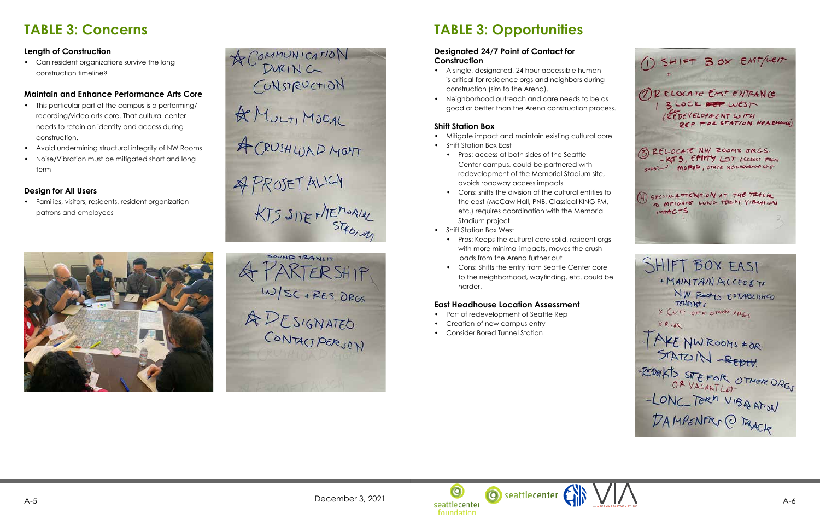

# **TABLE 3: Opportunities**

#### **Designated 24/7 Point of Contact for Construction**

- A single, designated, 24 hour accessible human is critical for residence orgs and neighbors during construction (sim to the Arena).
- Neighborhood outreach and care needs to be as good or better than the Arena construction process.

### **Shift Station Box**

- Mitigate impact and maintain existing cultural core
- Shift Station Box East
	- Pros: access at both sides of the Seattle Center campus, could be partnered with redevelopment of the Memorial Stadium site, avoids roadway access impacts
	- Cons: shifts the division of the cultural entities to the east (McCaw Hall, PNB, Classical KING FM, etc.) requires coordination with the Memorial Stadium project
- Shift Station Box West
	- Pros: Keeps the cultural core solid, resident orgs with more minimal impacts, moves the crush loads from the Arena further out
	- Cons: Shifts the entry from Seattle Center core to the neighborhood, wayfinding, etc. could be harder.

### **East Headhouse Location Assessment**

- Part of redevelopment of Seattle Rep
- Creation of new campus entry
- Consider Bored Tunnel Station

# **TABLE 3: Concerns**

### **Length of Construction**

• Can resident organizations survive the long construction timeline?

### **Maintain and Enhance Performance Arts Core**

- This particular part of the campus is a performing/ recording/video arts core. That cultural center needs to retain an identity and access during construction.
- Avoid undermining structural integrity of NW Rooms
- Noise/Vibration must be mitigated short and long term

### **Design for All Users**

• Families, visitors, residents, resident organization patrons and employees



ACOMMUNICATION CUNSTRUCTION & MULT, MODAL A CRUSHLUAD MONT & PROJET ALIGN KTS SITE MEMORIAL



1 SHIFT BOX EAST/WEIT 1) RELOCATE EAST ENTRANCE BLOCK FOR WEST IREDEVELOPMENT WITH DEP POR STATION HEADHOUSE) 3) RELOCATE NW ROOMS ORGS. -KOTS, EPIPTY LOT ACCEDER FROM mopep, other Neichelence of (4) SPECIAL ATTENTION AT THE TRACK TO MITICATE LONG TERM VIBEATION

**IMPACTS** 

SHIFT BOX EAST + MAINTAIN ACCESSTO NW ROOMS ESTABLISHED TENANTS X CUTS OFF OTHER DRES  $XR18k$ TAKE NWROOMS #OR<br>STATOIN -REDEV. REDWATS STEFOR OTHER DRGS -LONG TORM VIBAATION DAMPENTRS @ TAACH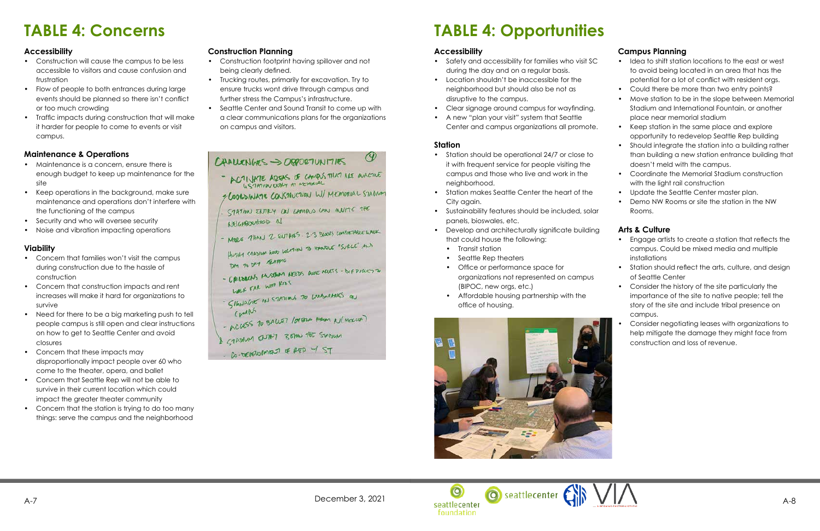

# **TABLE 4: Opportunities**

### **Accessibility**

- Safety and accessibility for families who visit SC during the day and on a regular basis.
- Location shouldn't be inaccessible for the neighborhood but should also be not as disruptive to the campus.
- Clear signage around campus for wayfinding.
- A new "plan your visit" system that Seattle Center and campus organizations all promote.

### **Station**

- Station should be operational 24/7 or close to it with frequent service for people visiting the campus and those who live and work in the neighborhood.
- Station makes Seattle Center the heart of the City again.
- Sustainability features should be included, solar panels, bioswales, etc.
- Develop and architecturally significate building that could house the following:
	- Transit station
	- Seattle Rep theaters
	- Office or performance space for organizations not represented on campus (BIPOC, new orgs, etc.)
	- Affordable housing partnership with the office of housing.



### **Campus Planning**

- Idea to shift station locations to the east or west to avoid being located in an area that has the potential for a lot of conflict with resident orgs.
- Could there be more than two entry points?
- Move station to be in the slope between Memorial Stadium and International Fountain, or another place near memorial stadium
- Keep station in the same place and explore opportunity to redevelop Seattle Rep building
- Should integrate the station into a building rather than building a new station entrance building that doesn't meld with the campus.
- Coordinate the Memorial Stadium construction with the light rail construction
- Update the Seattle Center master plan.
- Demo NW Rooms or site the station in the NW Rooms.
- Maintenance is a concern, ensure there is enough budget to keep up maintenance for the site
- Keep operations in the background, make sure maintenance and operations don't interfere with the functioning of the campus
- Security and who will oversee security
- Noise and vibration impacting operations

### **Arts & Culture**

- Engage artists to create a station that reflects the campus. Could be mixed media and multiple installations
- Station should reflect the arts, culture, and design of Seattle Center
- Consider the history of the site particularly the importance of the site to native people; tell the story of the site and include tribal presence on campus.
- Consider negotiating leases with organizations to help mitigate the damage they might face from construction and loss of revenue.



# **TABLE 4: Concerns**

### **Accessibility**

- Construction will cause the campus to be less accessible to visitors and cause confusion and frustration
- Flow of people to both entrances during large events should be planned so there isn't conflict or too much crowding
- Traffic impacts during construction that will make it harder for people to come to events or visit campus.

### **Maintenance & Operations**

### **Viability**

- Concern that families won't visit the campus during construction due to the hassle of construction
- Concern that construction impacts and rent increases will make it hard for organizations to survive
- Need for there to be a big marketing push to tell people campus is still open and clear instructions on how to get to Seattle Center and avoid closures
- Concern that these impacts may disproportionally impact people over 60 who come to the theater, opera, and ballet
- Concern that Seattle Rep will not be able to survive in their current location which could impact the greater theater community
- Concern that the station is trying to do too many things: serve the campus and the neighborhood

### **Construction Planning**

- Construction footprint having spillover and not being clearly defined.
- Trucking routes, primarily for excavation. Try to ensure trucks wont drive through campus and further stress the Campus's infrastructure.
- Seattle Center and Sound Transit to come up with a clear communications plans for the organizations on campus and visitors.

## $C$ HALLENGES ->  $O$ 88027UNITIES

ACTIVATE ADERS OF CAMPUS THAT ARE WACTUE

 $\circ$ 

- COORDINATE CONSTRUCTION W/ MEMORIAL STADING
- STATION ENTRY ON CAMPUS CAN INVITE THE NEIGHBORHOOD N
- MORE THAN 2 EUTHES. 2-3 BLOCKS COMENTABLE WALK
- HUSILA STADIUM GOOD LOCATION TO HANDLE "SURCE" ALD DM 20 DM THARRIC
- CALLORADS MUSEUM AREDS WE MEETS DIFFICULTING
- MACK EVE MUB KIDS
- LARK FAR IN STATIONS TO LARSMARKS ON CAMPLE
- ACCESS TO BALLET 100000 FROM N(MOKLOR)
- I STANDAL BUTHEY BENN THE STANDAL
- Co-DEVELUMENT OF RED W/ST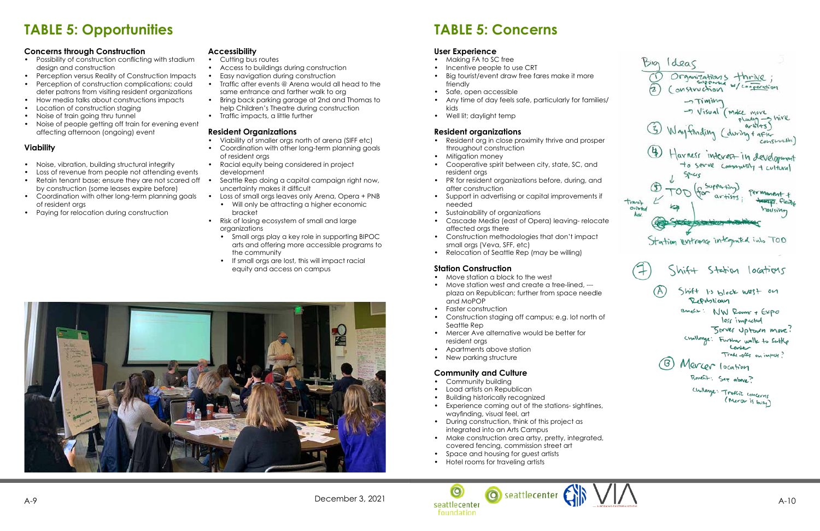

# **TABLE 5: Concerns**

- Making FA to SC free
- 
- Incentive people to use CRT<br>• Big tourist/event draw free fares make it more friendly
- Safe, open accessible
- Any time of day feels safe, particularly for families/ kids
- Well lit; daylight temp

### **User Experience**

- Resident org in close proximity thrive and prosper throughout construction
- Mitigation money
- Cooperative spirit between city, state, SC, and resident orgs
- PR for resident organizations before, during, and after construction
- Support in advertising or capital improvements if needed
- Sustainability of organizations
- Cascade Media (east of Opera) leaving- relocate affected orgs there
- Construction methodologies that don't impact small orgs (Veva, SFF, etc)
- Relocation of Seattle Rep (may be willing)

#### **Resident organizations**

- Move station a block to the west
- Move station west and create a tree-lined, -- plaza on Republican; further from space needle and MoPOP
- Faster construction
- Construction staging off campus; e.g. lot north of Seattle Rep
- Mercer Ave alternative would be better for resident orgs
- Apartments above station
- New parking structure

### **Station Construction**

### **Community and Culture**

- Community building
- Load artists on Republican
- Building historically recognized
- Experience coming out of the stations- sightlines, wayfinding, visual feel, art
- During construction, think of this project as integrated into an Arts Campus
- Make construction area artsy, pretty, integrated, covered fencing, commission street art
- Space and housing for guest artists
- Hotel rooms for traveling artists

# **TABLE 5: Opportunities**

Bio Ideas Organizations thrive SUPPOULD W/cooperation onstruction ->Timing - Visual (make move -shire  $P$ learly  $a+b+5$ Whyfinding (during + after COLISTINGHOL Harness interest in development to serve community + cultural Spaces C Supporting Permanent + Henry Fleiche trangit Onined housing dev. Station entrance integrated into TOD  $\leq$ hif+ Station locations Shift Is block west on Republican Banch+: NW Rooms + EXPO less impacted Berver Uptourn move Challonge: Further walk to Seattle Lonter Trade-offs on impict? Mercer location Bontfit: See above? Challange: Traffic concerns<br>(Meror is busy)

### **Concerns through Construction**

- Possibility of construction conflicting with stadium design and construction
- Perception versus Reality of Construction Impacts
- Perception of construction complications; could deter patrons from visiting resident organizations
- How media talks about constructions impacts
- Location of construction staging
- Noise of train going thru tunnel
- Noise of people getting off train for evening event affecting afternoon (ongoing) event

### **Viability**

- Noise, vibration, building structural integrity
- Loss of revenue from people not attending events
- Retain tenant base; ensure they are not scared off by construction (some leases expire before)
- Coordination with other long-term planning goals of resident orgs
- Paying for relocation during construction

#### **Accessibility**

- Cutting bus routes
- Access to buildings during construction
- Easy navigation during construction
- Traffic after events @ Arena would all head to the same entrance and farther walk to org
- Bring back parking garage at 2nd and Thomas to help Children's Theatre during construction
- Traffic impacts, a little further

#### **Resident Organizations**

- Viability of smaller orgs north of arena (SIFF etc)
- Coordination with other long-term planning goals of resident orgs
- Racial equity being considered in project development
- Seattle Rep doing a capital campaign right now, uncertainty makes it difficult
- Loss of small orgs leaves only Arena, Opera + PNB • Will only be attracting a higher economic
- bracket
- Risk of losing ecosystem of small and large organizations • Small orgs play a key role in supporting BIPOC
	- arts and offering more accessible programs to the community
	- If small orgs are lost, this will impact racial equity and access on campus

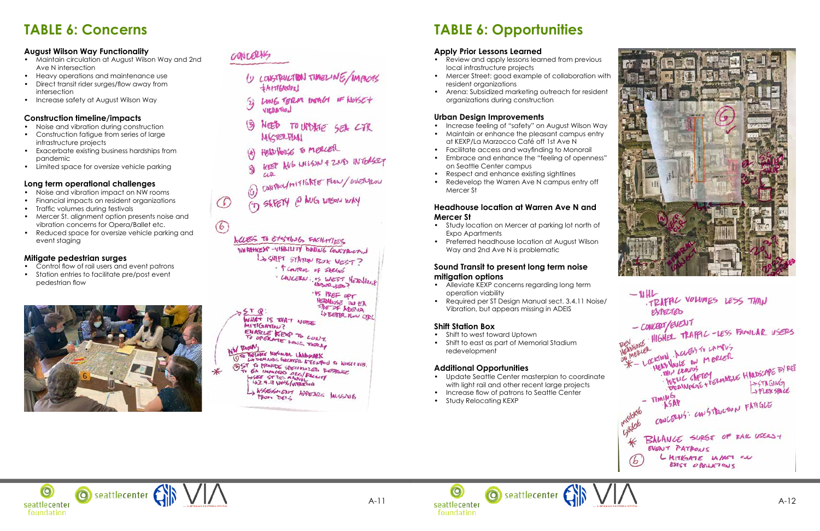



 $-1$ IT LIFAL VOLUMES LESS THAN EXPECTED - CONCERT/EVENT<br>REVIVOLE: HIGHER TRAFFIC -LESS FAMILAR USERS  $-$  CONCERT/EVENT ALOL HIGHER HIGHER LAMPUS KATION LUGTITI MERLER THEY CRAINS<br>THE CRAINS TELL STREET FORMAGIC HALDSCAPE BY REP.<br>TODA INPORTE + PERMAGIC FIELDSPACE THIS CRANTS Strex space  $TIMMS$ TIMING<br>CONCERNS: CONSTRUCTION FATIGUE **Primere** BALANGE SURGE OF RAIL USERS + ั≰ EVENT PATPONS L MITRATE IN ART ON (b EXIST OPENE TONS



# **TABLE 6: Opportunities**

### **Apply Prior Lessons Learned**

- Review and apply lessons learned from previous local infrastructure projects
- Mercer Street: good example of collaboration with resident organizations
- Arena: Subsidized marketing outreach for resident organizations during construction

### **Urban Design Improvements**

- Increase feeling of "safety" on August Wilson Way
- Maintain or enhance the pleasant campus entry at KEXP/La Marzocco Café off 1st Ave N
- Facilitate access and wayfinding to Monorail • Embrace and enhance the "feeling of openness"
- on Seattle Center campus
- Respect and enhance existing sightlines
- Redevelop the Warren Ave N campus entry off Mercer St

- Alleviate KEXP concerns regarding long term operation viability
- Required per ST Design Manual sect. 3.4.11 Noise/ Vibration, but appears missing in ADEIS

- Update Seattle Center masterplan to coordinate with light rail and other recent large projects
- Increase flow of patrons to Seattle Center
- Study Relocating KEXP







### **Headhouse location at Warren Ave N and Mercer St**

- Study location on Mercer at parking lot north of Expo Apartments
- Preferred headhouse location at August Wilson Way and 2nd Ave N is problematic

### **Sound Transit to present long term noise mitigation options**

- 
- Financial impacts on resident organizations
- Traffic volumes during festivals
- Mercer St. alignment option presents noise and vibration concerns for Opera/Ballet etc.
- Reduced space for oversize vehicle parking and event staging

## **Shift Station Box**

- Shift to west toward Uptown
- Shift to east as part of Memorial Stadium redevelopment

## **Additional Opportunities**

# **TABLE 6: Concerns**

### **August Wilson Way Functionality**

- Maintain circulation at August Wilson Way and 2nd Ave N intersection
- Heavy operations and maintenance use
- Direct transit rider surges/flow away from intersection
- Increase safety at August Wilson Way

### **Construction timeline/impacts**

- Noise and vibration during construction
- Construction fatigue from series of large infrastructure projects
- Exacerbate existing business hardships from pandemic
- Limited space for oversize vehicle parking

# **Long term operational challenges**<br>• Noise and vibration impact on NW rooms

### **Mitigate pedestrian surges**

- Control flow of rail users and event patrons
- Station entries to facilitate pre/post event pedestrian flow



# CONCERNS

 $\bigcirc$ 

- U CONSTRUCTION TIMELINE/IMPICAS **+MITIGROON**
- LONG TERM INPACT OF NOKET 3 VIERA-TIOJ
- TO UPORTE SEA CTR  $\ddot{\bm{3}}$ NEED MICTERPLAN
- HEAD HOUSE TO MERCER
- AVG WILSON + ZND INTOLEZY  $CIP$
- CONTAUL/MITIGATE FLOW/OVERFLOW
- (1) SKEETY @ AUG WIGON WAY

LUES TO ENSTING FACILITIES WHATKESP-VILBILITY BULLING COURTERLING LOSHIFT STATION BOX WEST? · T COUTROL UF SARGE CONCERN: IS WEST HEASHOUR

**IS MEE OPT** 

HEANING ON EA L'S BETTER FLOW CTRL

WHAT IS THAT MORE **MITIGATION?** 

MITIGATION?<br>ENABLE KEXP TO CONT.<br>TO OPERATE LONG TERRY

 $STQ$ 

BELODIE NICHOURS LANDMARK BECOME MRUOUR LAADMARK<br>LYDEMANDS GREATER ATTENTION TO NOISETVIB. OST TO PROVIDE SPECIALIZED RESPONSE

EA IMMETER DECIMBLES PA

WERE APPEARS MISSING FROM DEIL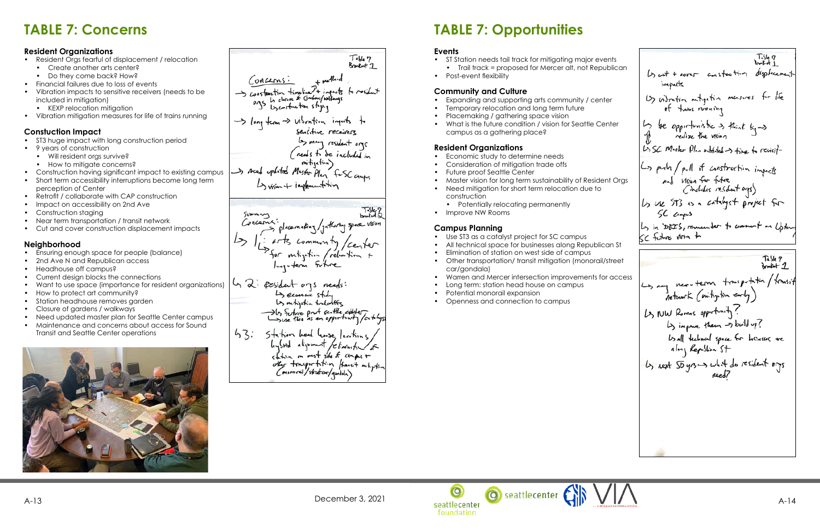# **TABLE 7: Opportunities**

### **Events**

- ST Station needs tail track for mitigating major ev • Trail track = proposed for Mercer alt, not Rep
- Post-event flexibility

### **Community and Culture**

- Expanding and supporting arts community / center
- Temporary relocation and long term future
- Placemaking / gathering space vision
- What is the future condition / vision for Seattle Comparent campus as a gathering place?

- Economic study to determine needs
- Consideration of mitigation trade offs
- Future proof Seattle Center
- Master vision for long term sustainability of Resident Organization
- Need mitigation for short term relocation due to construction
	- Potentially relocating permanently
- Improve NW Rooms

### **Resident Organizations**

### **Campus Planning**

- Resident Oras fearful of displacement / relocation
	- Create another arts center?
	- Do they come back? How?
- Financial failures due to loss of events
- Vibration impacts to sensitive receivers (needs to be included in mitigation)
	- KEXP relocation mitigation
- Vibration mitigation measures for life of trains running

- ST3 huge impact with long construction period
- 9 years of construction
	- Will resident orgs survive?
	- How to mitigate concerns?
- Construction having significant impact to existing campus
- Short term accessibility interruptions become long term perception of Center
- Retrofit / collaborate with CAP construction
- Impact on accessibility on 2nd Ave
- Construction staging
- Near term transportation / transit network<br>• Cut and cover construction displacement impacts
- 
- Use ST3 as a catalyst project for SC campus
- All technical space for businesses along Republican States
- Elimination of station on west side of campus
- Other transportation/ transit mitigation (monoraily car/gondala)
- Warren and Mercer intersection improvements for
- Long term: station head house on campus
- Potential monorail expansion
- Openness and connection to campus

# **TABLE 7: Concerns**

### **Resident Organizations**

### **Constuction Impact**

### **Neighborhood**

- Ensuring enough space for people (balance)
- 2nd Ave N and Republican access
- Headhouse off campus?
- Current design blocks the connections
- Want to use space (importance for resident organizations)
- How to protect art community?
- Station headhouse removes garden
- Closure of gardens / walkways
- Need updated master plan for Seattle Center campus • Maintenance and concerns about access for Sound Transit and Seattle Center operations



Table 7<br>Brooknt 1 Concerns: Sconstantin timeline + imports to resident Song term => visorition inputs to<br>sensitive receivers<br>less many resident age<br>less to be included in<br>a mitigation)<br>and mitigation Lyvisin + implement tim Doubled 2 placemating/ gathering space vision arts common ty /center<br>for mtigitin /rebation +<br>long-term sotice L 2: pesident ogs needs: to second study<br>by outgetin to leastly<br>and this is an opportunity fortify.  $43:$ Station head lease locition hystral aligrment /c/min station on most site of camps +<br>other tonoger tation fransit metyption<br>Commonil/stretor/goodsh)